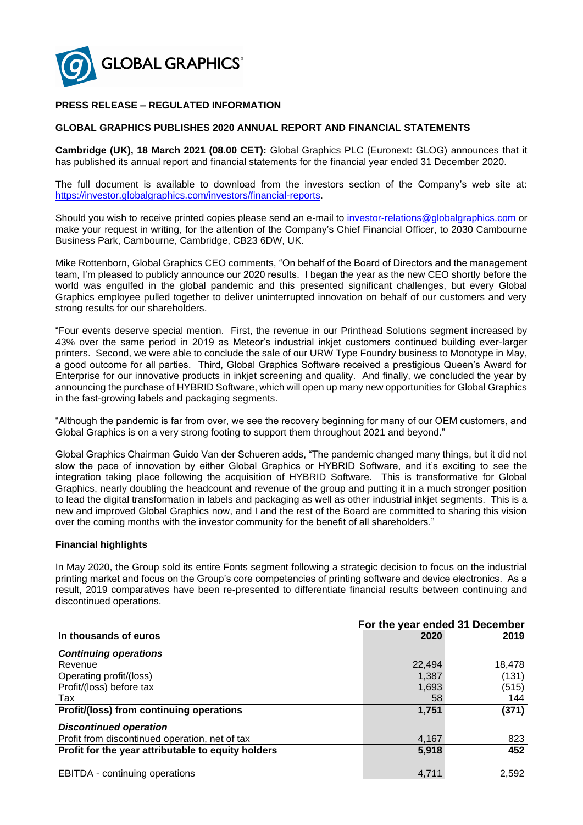

## **PRESS RELEASE – REGULATED INFORMATION**

### **GLOBAL GRAPHICS PUBLISHES 2020 ANNUAL REPORT AND FINANCIAL STATEMENTS**

**Cambridge (UK), 18 March 2021 (08.00 CET):** Global Graphics PLC (Euronext: GLOG) announces that it has published its annual report and financial statements for the financial year ended 31 December 2020.

The full document is available to download from the investors section of the Company's web site at: [https://investor.globalgraphics.com/investors/financial-reports.](https://investor.globalgraphics.com/investors/financial-reports)

Should you wish to receive printed copies please send an e-mail to [investor-relations@globalgraphics.com](mailto:investor-relations@globalgraphics.com) or make your request in writing, for the attention of the Company's Chief Financial Officer, to 2030 Cambourne Business Park, Cambourne, Cambridge, CB23 6DW, UK.

Mike Rottenborn, Global Graphics CEO comments, "On behalf of the Board of Directors and the management team, I'm pleased to publicly announce our 2020 results. I began the year as the new CEO shortly before the world was engulfed in the global pandemic and this presented significant challenges, but every Global Graphics employee pulled together to deliver uninterrupted innovation on behalf of our customers and very strong results for our shareholders.

"Four events deserve special mention. First, the revenue in our Printhead Solutions segment increased by 43% over the same period in 2019 as Meteor's industrial inkjet customers continued building ever-larger printers. Second, we were able to conclude the sale of our URW Type Foundry business to Monotype in May, a good outcome for all parties. Third, Global Graphics Software received a prestigious Queen's Award for Enterprise for our innovative products in inkjet screening and quality. And finally, we concluded the year by announcing the purchase of HYBRID Software, which will open up many new opportunities for Global Graphics in the fast-growing labels and packaging segments.

"Although the pandemic is far from over, we see the recovery beginning for many of our OEM customers, and Global Graphics is on a very strong footing to support them throughout 2021 and beyond."

Global Graphics Chairman Guido Van der Schueren adds, "The pandemic changed many things, but it did not slow the pace of innovation by either Global Graphics or HYBRID Software, and it's exciting to see the integration taking place following the acquisition of HYBRID Software. This is transformative for Global Graphics, nearly doubling the headcount and revenue of the group and putting it in a much stronger position to lead the digital transformation in labels and packaging as well as other industrial inkjet segments. This is a new and improved Global Graphics now, and I and the rest of the Board are committed to sharing this vision over the coming months with the investor community for the benefit of all shareholders."

#### **Financial highlights**

In May 2020, the Group sold its entire Fonts segment following a strategic decision to focus on the industrial printing market and focus on the Group's core competencies of printing software and device electronics. As a result, 2019 comparatives have been re-presented to differentiate financial results between continuing and discontinued operations.

|                                                    |        | For the year ended 31 December |  |
|----------------------------------------------------|--------|--------------------------------|--|
| In thousands of euros                              | 2020   | 2019                           |  |
| <b>Continuing operations</b>                       |        |                                |  |
| Revenue                                            | 22,494 | 18,478                         |  |
| Operating profit/(loss)                            | 1,387  | (131)                          |  |
| Profit/(loss) before tax                           | 1,693  | (515)                          |  |
| Tax                                                | 58     | 144                            |  |
| Profit/(loss) from continuing operations           | 1,751  | (371)                          |  |
| <b>Discontinued operation</b>                      |        |                                |  |
| Profit from discontinued operation, net of tax     | 4,167  | 823                            |  |
| Profit for the year attributable to equity holders | 5,918  | 452                            |  |
| <b>EBITDA</b> - continuing operations              | 4.711  | 2,592                          |  |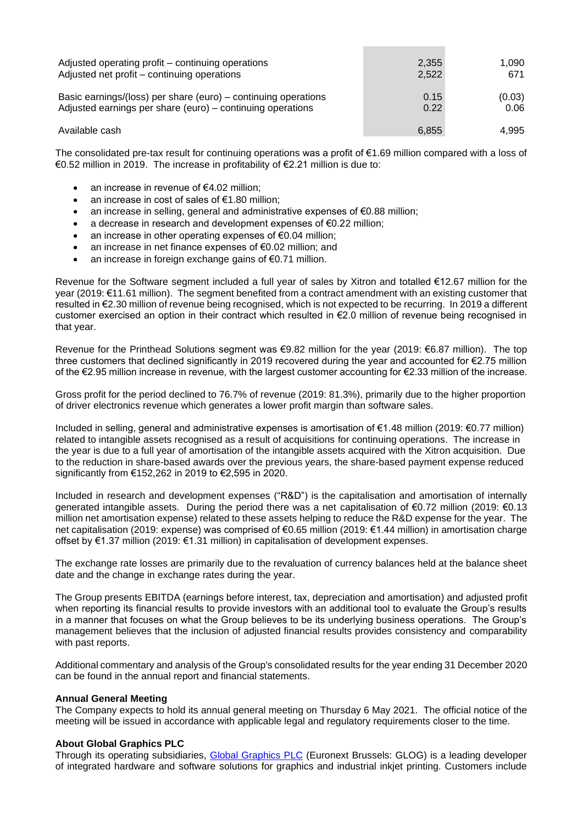| Adjusted operating profit – continuing operations              | 2,355 | 1.090  |
|----------------------------------------------------------------|-------|--------|
| Adjusted net profit - continuing operations                    | 2,522 | 671    |
| Basic earnings/(loss) per share (euro) – continuing operations | 0.15  | (0.03) |
| Adjusted earnings per share (euro) – continuing operations     | 0.22  | 0.06   |
| Available cash                                                 | 6,855 | 4.995  |

The consolidated pre-tax result for continuing operations was a profit of €1.69 million compared with a loss of €0.52 million in 2019. The increase in profitability of €2.21 million is due to:

- an increase in revenue of €4.02 million;
- an increase in cost of sales of €1.80 million;
- an increase in selling, general and administrative expenses of €0.88 million;
- a decrease in research and development expenses of €0.22 million;
- an increase in other operating expenses of €0.04 million;
- an increase in net finance expenses of €0.02 million; and
- an increase in foreign exchange gains of  $€0.71$  million.

Revenue for the Software segment included a full year of sales by Xitron and totalled €12.67 million for the year (2019: €11.61 million). The segment benefited from a contract amendment with an existing customer that resulted in €2.30 million of revenue being recognised, which is not expected to be recurring. In 2019 a different customer exercised an option in their contract which resulted in €2.0 million of revenue being recognised in that year.

Revenue for the Printhead Solutions segment was €9.82 million for the year (2019: €6.87 million). The top three customers that declined significantly in 2019 recovered during the year and accounted for €2.75 million of the €2.95 million increase in revenue, with the largest customer accounting for €2.33 million of the increase.

Gross profit for the period declined to 76.7% of revenue (2019: 81.3%), primarily due to the higher proportion of driver electronics revenue which generates a lower profit margin than software sales.

Included in selling, general and administrative expenses is amortisation of €1.48 million (2019: €0.77 million) related to intangible assets recognised as a result of acquisitions for continuing operations. The increase in the year is due to a full year of amortisation of the intangible assets acquired with the Xitron acquisition. Due to the reduction in share-based awards over the previous years, the share-based payment expense reduced significantly from €152,262 in 2019 to €2,595 in 2020.

Included in research and development expenses ("R&D") is the capitalisation and amortisation of internally generated intangible assets. During the period there was a net capitalisation of €0.72 million (2019: €0.13 million net amortisation expense) related to these assets helping to reduce the R&D expense for the year. The net capitalisation (2019: expense) was comprised of €0.65 million (2019: €1.44 million) in amortisation charge offset by €1.37 million (2019: €1.31 million) in capitalisation of development expenses.

The exchange rate losses are primarily due to the revaluation of currency balances held at the balance sheet date and the change in exchange rates during the year.

The Group presents EBITDA (earnings before interest, tax, depreciation and amortisation) and adjusted profit when reporting its financial results to provide investors with an additional tool to evaluate the Group's results in a manner that focuses on what the Group believes to be its underlying business operations. The Group's management believes that the inclusion of adjusted financial results provides consistency and comparability with past reports.

Additional commentary and analysis of the Group's consolidated results for the year ending 31 December 2020 can be found in the annual report and financial statements.

#### **Annual General Meeting**

The Company expects to hold its annual general meeting on Thursday 6 May 2021. The official notice of the meeting will be issued in accordance with applicable legal and regulatory requirements closer to the time.

#### **About Global Graphics PLC**

Through its operating subsidiaries, [Global Graphics PLC](https://investor.globalgraphics.com/) (Euronext Brussels: GLOG) is a leading developer of integrated hardware and software solutions for graphics and industrial inkjet printing. Customers include